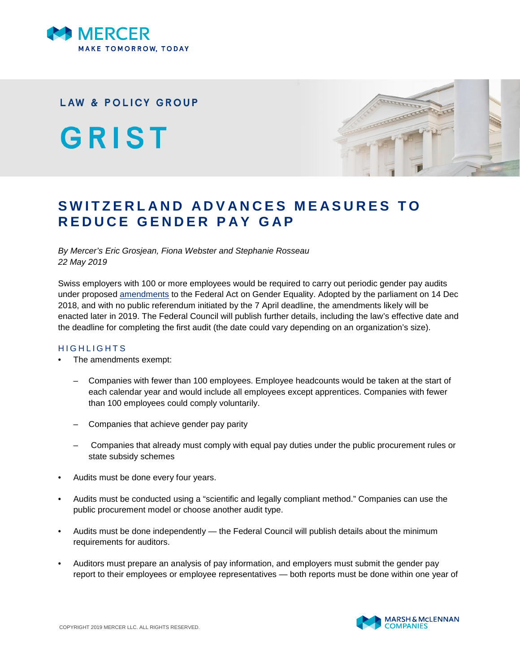

## **LAW & POLICY GROUP**

GRIST



## SWITZERLAND ADVANCES MEASURES TO **R E D U C E G E N D E R P A Y G A P**

*By Mercer's Eric Grosjean, Fiona Webster and Stephanie Rosseau 22 May 2019*

Swiss employers with 100 or more employees would be required to carry out periodic gender pay audits under proposed [amendments](https://www.admin.ch/opc/fr/federal-gazette/2018/7881.pdf) to the Federal Act on Gender Equality. Adopted by the parliament on 14 Dec 2018, and with no public referendum initiated by the 7 April deadline, the amendments likely will be enacted later in 2019. The Federal Council will publish further details, including the law's effective date and the deadline for completing the first audit (the date could vary depending on an organization's size).

## H I G H L I G H T S

- The amendments exempt:
	- Companies with fewer than 100 employees. Employee headcounts would be taken at the start of each calendar year and would include all employees except apprentices. Companies with fewer than 100 employees could comply voluntarily.
	- Companies that achieve gender pay parity
	- Companies that already must comply with equal pay duties under the public procurement rules or state subsidy schemes
- Audits must be done every four years.
- Audits must be conducted using a "scientific and legally compliant method." Companies can use the public procurement model or choose another audit type.
- Audits must be done independently the Federal Council will publish details about the minimum requirements for auditors.
- Auditors must prepare an analysis of pay information, and employers must submit the gender pay report to their employees or employee representatives — both reports must be done within one year of